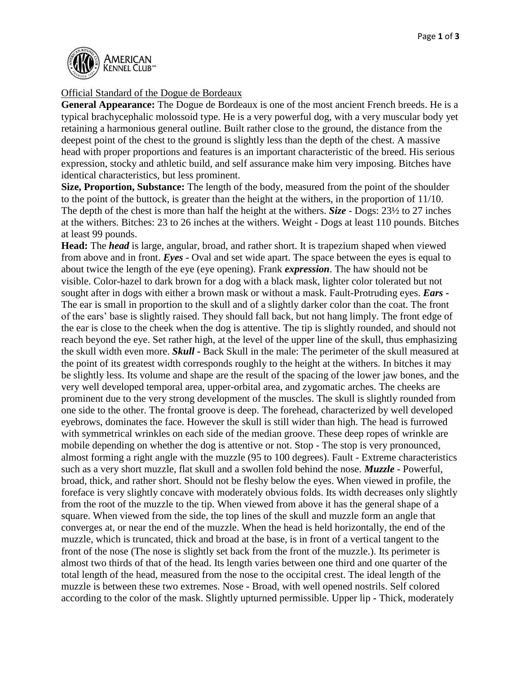

## Official Standard of the Dogue de Bordeaux

**General Appearance:** The Dogue de Bordeaux is one of the most ancient French breeds. He is a typical brachycephalic molossoid type. He is a very powerful dog, with a very muscular body yet retaining a harmonious general outline. Built rather close to the ground, the distance from the deepest point of the chest to the ground is slightly less than the depth of the chest. A massive head with proper proportions and features is an important characteristic of the breed. His serious expression, stocky and athletic build, and self assurance make him very imposing. Bitches have identical characteristics, but less prominent.

**Size, Proportion, Substance:** The length of the body, measured from the point of the shoulder to the point of the buttock, is greater than the height at the withers, in the proportion of 11/10. The depth of the chest is more than half the height at the withers. *Size* - Dogs: 23½ to 27 inches at the withers. Bitches: 23 to 26 inches at the withers. Weight - Dogs at least 110 pounds. Bitches at least 99 pounds.

**Head:** The *head* is large, angular, broad, and rather short. It is trapezium shaped when viewed from above and in front. *Eyes -* Oval and set wide apart. The space between the eyes is equal to about twice the length of the eye (eye opening). Frank *expression*. The haw should not be visible. Color-hazel to dark brown for a dog with a black mask, lighter color tolerated but not sought after in dogs with either a brown mask or without a mask. Fault-Protruding eyes. *Ears -* The ear is small in proportion to the skull and of a slightly darker color than the coat. The front of the ears' base is slightly raised. They should fall back, but not hang limply. The front edge of the ear is close to the cheek when the dog is attentive. The tip is slightly rounded, and should not reach beyond the eye. Set rather high, at the level of the upper line of the skull, thus emphasizing the skull width even more. *Skull -* Back Skull in the male: The perimeter of the skull measured at the point of its greatest width corresponds roughly to the height at the withers. In bitches it may be slightly less. Its volume and shape are the result of the spacing of the lower jaw bones, and the very well developed temporal area, upper-orbital area, and zygomatic arches. The cheeks are prominent due to the very strong development of the muscles. The skull is slightly rounded from one side to the other. The frontal groove is deep. The forehead, characterized by well developed eyebrows, dominates the face. However the skull is still wider than high. The head is furrowed with symmetrical wrinkles on each side of the median groove. These deep ropes of wrinkle are mobile depending on whether the dog is attentive or not. Stop - The stop is very pronounced, almost forming a right angle with the muzzle (95 to 100 degrees). Fault - Extreme characteristics such as a very short muzzle, flat skull and a swollen fold behind the nose. *Muzzle -* Powerful, broad, thick, and rather short. Should not be fleshy below the eyes. When viewed in profile, the foreface is very slightly concave with moderately obvious folds. Its width decreases only slightly from the root of the muzzle to the tip. When viewed from above it has the general shape of a square. When viewed from the side, the top lines of the skull and muzzle form an angle that converges at, or near the end of the muzzle. When the head is held horizontally, the end of the muzzle, which is truncated, thick and broad at the base, is in front of a vertical tangent to the front of the nose (The nose is slightly set back from the front of the muzzle.). Its perimeter is almost two thirds of that of the head. Its length varies between one third and one quarter of the total length of the head, measured from the nose to the occipital crest. The ideal length of the muzzle is between these two extremes. Nose - Broad, with well opened nostrils. Self colored according to the color of the mask. Slightly upturned permissible. Upper lip *-* Thick, moderately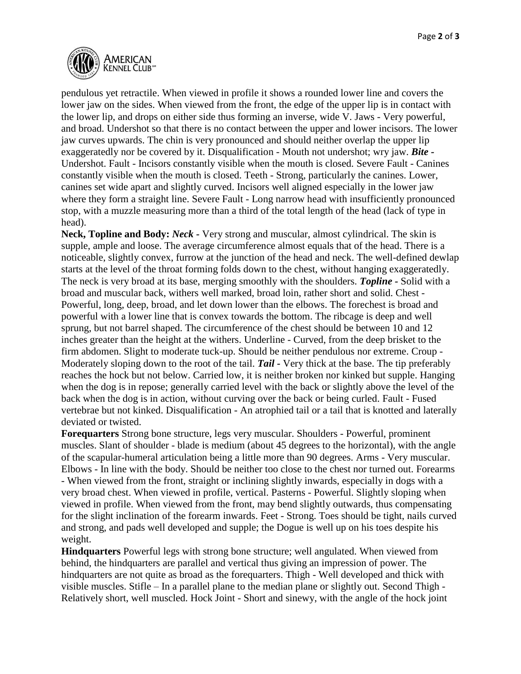

pendulous yet retractile. When viewed in profile it shows a rounded lower line and covers the lower jaw on the sides. When viewed from the front, the edge of the upper lip is in contact with the lower lip, and drops on either side thus forming an inverse, wide V. Jaws - Very powerful, and broad. Undershot so that there is no contact between the upper and lower incisors. The lower jaw curves upwards. The chin is very pronounced and should neither overlap the upper lip exaggeratedly nor be covered by it. Disqualification - Mouth not undershot; wry jaw. *Bite -* Undershot. Fault - Incisors constantly visible when the mouth is closed. Severe Fault - Canines constantly visible when the mouth is closed. Teeth - Strong, particularly the canines. Lower, canines set wide apart and slightly curved. Incisors well aligned especially in the lower jaw where they form a straight line. Severe Fault - Long narrow head with insufficiently pronounced stop, with a muzzle measuring more than a third of the total length of the head (lack of type in head).

**Neck, Topline and Body:** *Neck -* Very strong and muscular, almost cylindrical. The skin is supple, ample and loose. The average circumference almost equals that of the head. There is a noticeable, slightly convex, furrow at the junction of the head and neck. The well-defined dewlap starts at the level of the throat forming folds down to the chest, without hanging exaggeratedly. The neck is very broad at its base, merging smoothly with the shoulders. *Topline -* Solid with a broad and muscular back, withers well marked, broad loin, rather short and solid. Chest - Powerful, long, deep, broad, and let down lower than the elbows. The forechest is broad and powerful with a lower line that is convex towards the bottom. The ribcage is deep and well sprung, but not barrel shaped. The circumference of the chest should be between 10 and 12 inches greater than the height at the withers. Underline - Curved, from the deep brisket to the firm abdomen. Slight to moderate tuck-up. Should be neither pendulous nor extreme. Croup - Moderately sloping down to the root of the tail. *Tail -* Very thick at the base. The tip preferably reaches the hock but not below. Carried low, it is neither broken nor kinked but supple. Hanging when the dog is in repose; generally carried level with the back or slightly above the level of the back when the dog is in action, without curving over the back or being curled. Fault - Fused vertebrae but not kinked. Disqualification - An atrophied tail or a tail that is knotted and laterally deviated or twisted.

**Forequarters** Strong bone structure, legs very muscular. Shoulders - Powerful, prominent muscles. Slant of shoulder - blade is medium (about 45 degrees to the horizontal), with the angle of the scapular-humeral articulation being a little more than 90 degrees. Arms - Very muscular. Elbows - In line with the body. Should be neither too close to the chest nor turned out. Forearms - When viewed from the front, straight or inclining slightly inwards, especially in dogs with a very broad chest. When viewed in profile, vertical. Pasterns - Powerful. Slightly sloping when viewed in profile. When viewed from the front, may bend slightly outwards, thus compensating for the slight inclination of the forearm inwards. Feet - Strong. Toes should be tight, nails curved and strong, and pads well developed and supple; the Dogue is well up on his toes despite his weight.

**Hindquarters** Powerful legs with strong bone structure; well angulated. When viewed from behind, the hindquarters are parallel and vertical thus giving an impression of power. The hindquarters are not quite as broad as the forequarters. Thigh - Well developed and thick with visible muscles. Stifle – In a parallel plane to the median plane or slightly out. Second Thigh - Relatively short, well muscled. Hock Joint - Short and sinewy, with the angle of the hock joint